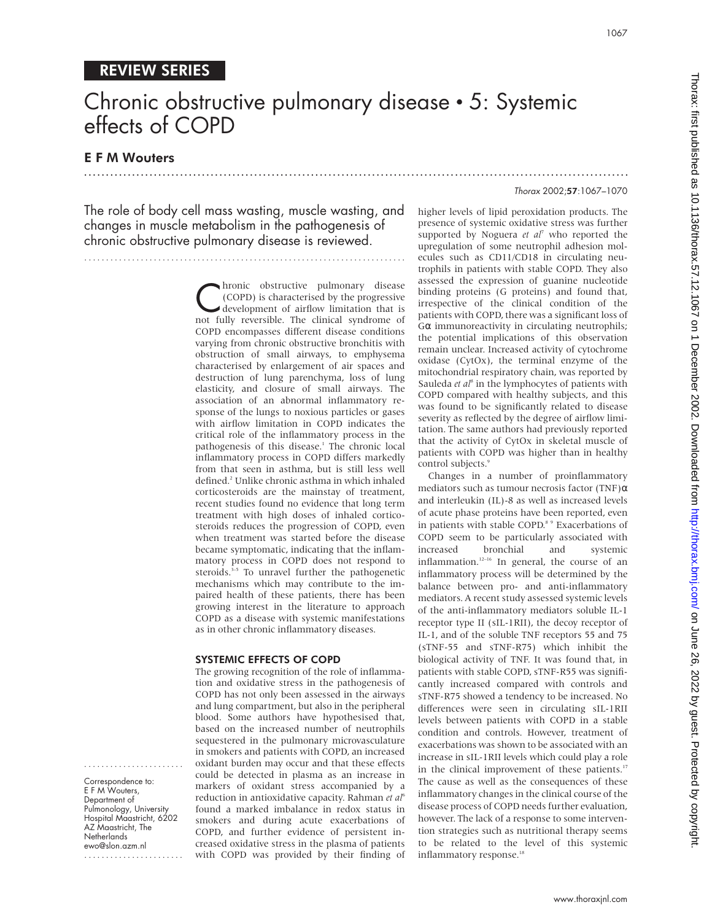# REVIEW SERIES

# Chronic obstructive pulmonary disease • 5: Systemic effects of COPD

.............................................................................................................................

## E F M Wouters

The role of body cell mass wasting, muscle wasting, and changes in muscle metabolism in the pathogenesis of chronic obstructive pulmonary disease is reviewed.

..........................................................................

hronic obstructive pulmonary disease (COPD) is characterised by the progressive development of airflow limitation that is not fully reversible. The clinical syndrome of COPD encompasses different disease conditions varying from chronic obstructive bronchitis with obstruction of small airways, to emphysema characterised by enlargement of air spaces and destruction of lung parenchyma, loss of lung elasticity, and closure of small airways. The association of an abnormal inflammatory response of the lungs to noxious particles or gases with airflow limitation in COPD indicates the critical role of the inflammatory process in the pathogenesis of this disease.<sup>1</sup> The chronic local inflammatory process in COPD differs markedly from that seen in asthma, but is still less well defined.<sup>2</sup> Unlike chronic asthma in which inhaled corticosteroids are the mainstay of treatment, recent studies found no evidence that long term treatment with high doses of inhaled corticosteroids reduces the progression of COPD, even when treatment was started before the disease became symptomatic, indicating that the inflammatory process in COPD does not respond to steroids.<sup>3-5</sup> To unravel further the pathogenetic mechanisms which may contribute to the impaired health of these patients, there has been growing interest in the literature to approach COPD as a disease with systemic manifestations as in other chronic inflammatory diseases.

#### SYSTEMIC EFFECTS OF COPD

The growing recognition of the role of inflammation and oxidative stress in the pathogenesis of COPD has not only been assessed in the airways and lung compartment, but also in the peripheral blood. Some authors have hypothesised that, based on the increased number of neutrophils sequestered in the pulmonary microvasculature in smokers and patients with COPD, an increased oxidant burden may occur and that these effects could be detected in plasma as an increase in markers of oxidant stress accompanied by a reduction in antioxidative capacity. Rahman *et al*<sup>6</sup> found a marked imbalance in redox status in smokers and during acute exacerbations of COPD, and further evidence of persistent increased oxidative stress in the plasma of patients with COPD was provided by their finding of

#### Thorax 2002;57:1067–1070

higher levels of lipid peroxidation products. The presence of systemic oxidative stress was further supported by Noguera *et al*<sup>7</sup> who reported the upregulation of some neutrophil adhesion molecules such as CD11/CD18 in circulating neutrophils in patients with stable COPD. They also assessed the expression of guanine nucleotide binding proteins (G proteins) and found that, irrespective of the clinical condition of the patients with COPD, there was a significant loss of Gα immunoreactivity in circulating neutrophils; the potential implications of this observation remain unclear. Increased activity of cytochrome oxidase (CytOx), the terminal enzyme of the mitochondrial respiratory chain, was reported by Sauleda *et al*<sup>8</sup> in the lymphocytes of patients with COPD compared with healthy subjects, and this was found to be significantly related to disease severity as reflected by the degree of airflow limitation. The same authors had previously reported that the activity of CytOx in skeletal muscle of patients with COPD was higher than in healthy control subjects.<sup>9</sup>

Changes in a number of proinflammatory mediators such as tumour necrosis factor (TNF) $\alpha$ and interleukin (IL)-8 as well as increased levels of acute phase proteins have been reported, even in patients with stable COPD.<sup>8</sup> <sup>9</sup> Exacerbations of COPD seem to be particularly associated with increased bronchial and systemic inflammation. $12-16$  In general, the course of an inflammatory process will be determined by the balance between pro- and anti-inflammatory mediators. A recent study assessed systemic levels of the anti-inflammatory mediators soluble IL-1 receptor type II (sIL-1RII), the decoy receptor of IL-1, and of the soluble TNF receptors 55 and 75 (sTNF-55 and sTNF-R75) which inhibit the biological activity of TNF. It was found that, in patients with stable COPD, sTNF-R55 was significantly increased compared with controls and sTNF-R75 showed a tendency to be increased. No differences were seen in circulating sIL-1RII levels between patients with COPD in a stable condition and controls. However, treatment of exacerbations was shown to be associated with an increase in sIL-1RII levels which could play a role in the clinical improvement of these patients.<sup>17</sup> The cause as well as the consequences of these inflammatory changes in the clinical course of the disease process of COPD needs further evaluation, however. The lack of a response to some intervention strategies such as nutritional therapy seems to be related to the level of this systemic inflammatory response.<sup>18</sup>

Correspondence to: E F M Wouters, Department of Pulmonology, University Hospital Maastricht, 6202 AZ Maastricht, The **Netherlands** ewo@slon.azm.nl .......................

.......................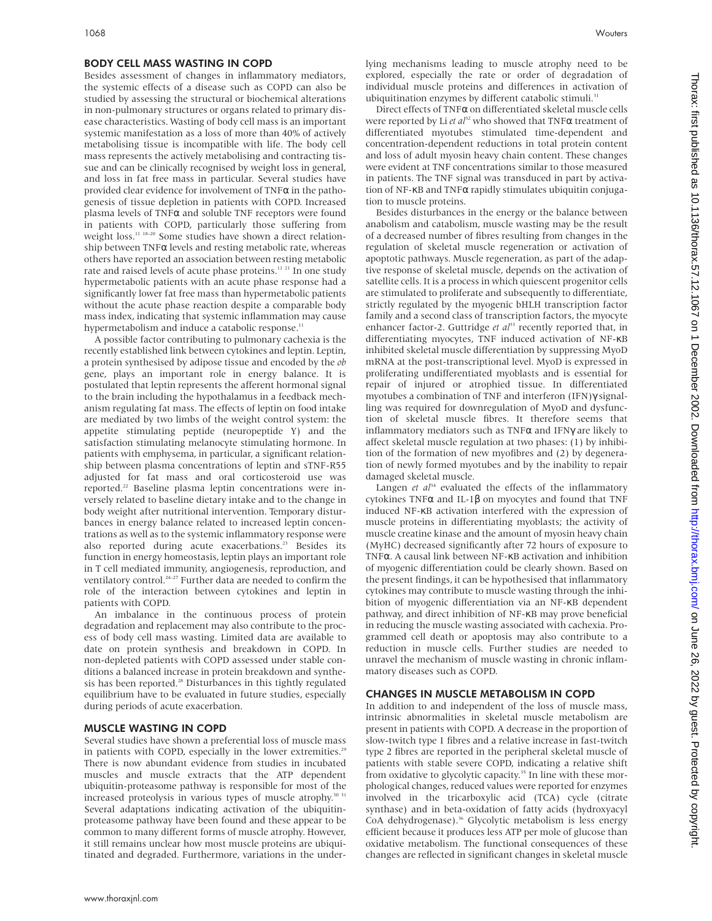#### BODY CELL MASS WASTING IN COPD

Besides assessment of changes in inflammatory mediators, the systemic effects of a disease such as COPD can also be studied by assessing the structural or biochemical alterations in non-pulmonary structures or organs related to primary disease characteristics. Wasting of body cell mass is an important systemic manifestation as a loss of more than 40% of actively metabolising tissue is incompatible with life. The body cell mass represents the actively metabolising and contracting tissue and can be clinically recognised by weight loss in general, and loss in fat free mass in particular. Several studies have provided clear evidence for involvement of  $TNF\alpha$  in the pathogenesis of tissue depletion in patients with COPD. Increased plasma levels of TNFα and soluble TNF receptors were found in patients with COPD, particularly those suffering from weight loss.<sup>11 18-20</sup> Some studies have shown a direct relationship between TNFα levels and resting metabolic rate, whereas others have reported an association between resting metabolic rate and raised levels of acute phase proteins.<sup>11 21</sup> In one study hypermetabolic patients with an acute phase response had a significantly lower fat free mass than hypermetabolic patients without the acute phase reaction despite a comparable body mass index, indicating that systemic inflammation may cause hypermetabolism and induce a catabolic response.<sup>11</sup>

A possible factor contributing to pulmonary cachexia is the recently established link between cytokines and leptin. Leptin, a protein synthesised by adipose tissue and encoded by the *ob* gene, plays an important role in energy balance. It is postulated that leptin represents the afferent hormonal signal to the brain including the hypothalamus in a feedback mechanism regulating fat mass. The effects of leptin on food intake are mediated by two limbs of the weight control system: the appetite stimulating peptide (neuropeptide Y) and the satisfaction stimulating melanocyte stimulating hormone. In patients with emphysema, in particular, a significant relationship between plasma concentrations of leptin and sTNF-R55 adjusted for fat mass and oral corticosteroid use was reported.<sup>22</sup> Baseline plasma leptin concentrations were inversely related to baseline dietary intake and to the change in body weight after nutritional intervention. Temporary disturbances in energy balance related to increased leptin concentrations as well as to the systemic inflammatory response were also reported during acute exacerbations.<sup>23</sup> Besides its function in energy homeostasis, leptin plays an important role in T cell mediated immunity, angiogenesis, reproduction, and ventilatory control.<sup>24–27</sup> Further data are needed to confirm the role of the interaction between cytokines and leptin in patients with COPD.

An imbalance in the continuous process of protein degradation and replacement may also contribute to the process of body cell mass wasting. Limited data are available to date on protein synthesis and breakdown in COPD. In non-depleted patients with COPD assessed under stable conditions a balanced increase in protein breakdown and synthesis has been reported.<sup>28</sup> Disturbances in this tightly regulated equilibrium have to be evaluated in future studies, especially during periods of acute exacerbation.

#### MUSCLE WASTING IN COPD

Several studies have shown a preferential loss of muscle mass in patients with COPD, especially in the lower extremities.<sup>29</sup> There is now abundant evidence from studies in incubated muscles and muscle extracts that the ATP dependent ubiquitin-proteasome pathway is responsible for most of the increased proteolysis in various types of muscle atrophy.<sup>30 31</sup> Several adaptations indicating activation of the ubiquitinproteasome pathway have been found and these appear to be common to many different forms of muscle atrophy. However, it still remains unclear how most muscle proteins are ubiquitinated and degraded. Furthermore, variations in the underlying mechanisms leading to muscle atrophy need to be explored, especially the rate or order of degradation of individual muscle proteins and differences in activation of ubiquitination enzymes by different catabolic stimuli.<sup>31</sup>

Direct effects of TNFα on differentiated skeletal muscle cells were reported by Li *et al*<sup>32</sup> who showed that TNFα treatment of differentiated myotubes stimulated time-dependent and concentration-dependent reductions in total protein content and loss of adult myosin heavy chain content. These changes were evident at TNF concentrations similar to those measured in patients. The TNF signal was transduced in part by activation of NF-κB and TNFα rapidly stimulates ubiquitin conjugation to muscle proteins.

Besides disturbances in the energy or the balance between anabolism and catabolism, muscle wasting may be the result of a decreased number of fibres resulting from changes in the regulation of skeletal muscle regeneration or activation of apoptotic pathways. Muscle regeneration, as part of the adaptive response of skeletal muscle, depends on the activation of satellite cells. It is a process in which quiescent progenitor cells are stimulated to proliferate and subsequently to differentiate, strictly regulated by the myogenic bHLH transcription factor family and a second class of transcription factors, the myocyte enhancer factor-2. Guttridge *et al*<sup>33</sup> recently reported that, in differentiating myocytes, TNF induced activation of NF-κB inhibited skeletal muscle differentiation by suppressing MyoD mRNA at the post-transcriptional level. MyoD is expressed in proliferating undifferentiated myoblasts and is essential for repair of injured or atrophied tissue. In differentiated myotubes a combination of TNF and interferon (IFN)γ signalling was required for downregulation of MyoD and dysfunction of skeletal muscle fibres. It therefore seems that inflammatory mediators such as TNF $\alpha$  and IFN $\gamma$  are likely to affect skeletal muscle regulation at two phases: (1) by inhibition of the formation of new myofibres and (2) by degeneration of newly formed myotubes and by the inability to repair damaged skeletal muscle.

Langen *et*  $a^{p4}$  evaluated the effects of the inflammatory cytokines TNFα and IL-1β on myocytes and found that TNF induced NF-κB activation interfered with the expression of muscle proteins in differentiating myoblasts; the activity of muscle creatine kinase and the amount of myosin heavy chain (MyHC) decreased significantly after 72 hours of exposure to TNFα. A causal link between NF-κB activation and inhibition of myogenic differentiation could be clearly shown. Based on the present findings, it can be hypothesised that inflammatory cytokines may contribute to muscle wasting through the inhibition of myogenic differentiation via an NF-κB dependent pathway, and direct inhibition of NF-κB may prove beneficial in reducing the muscle wasting associated with cachexia. Programmed cell death or apoptosis may also contribute to a reduction in muscle cells. Further studies are needed to unravel the mechanism of muscle wasting in chronic inflammatory diseases such as COPD.

#### CHANGES IN MUSCLE METABOLISM IN COPD

In addition to and independent of the loss of muscle mass, intrinsic abnormalities in skeletal muscle metabolism are present in patients with COPD. A decrease in the proportion of slow-twitch type 1 fibres and a relative increase in fast-twitch type 2 fibres are reported in the peripheral skeletal muscle of patients with stable severe COPD, indicating a relative shift from oxidative to glycolytic capacity.<sup>35</sup> In line with these morphological changes, reduced values were reported for enzymes involved in the tricarboxylic acid (TCA) cycle (citrate synthase) and in beta-oxidation of fatty acids (hydroxyacyl CoA dehydrogenase).<sup>36</sup> Glycolytic metabolism is less energy efficient because it produces less ATP per mole of glucose than oxidative metabolism. The functional consequences of these changes are reflected in significant changes in skeletal muscle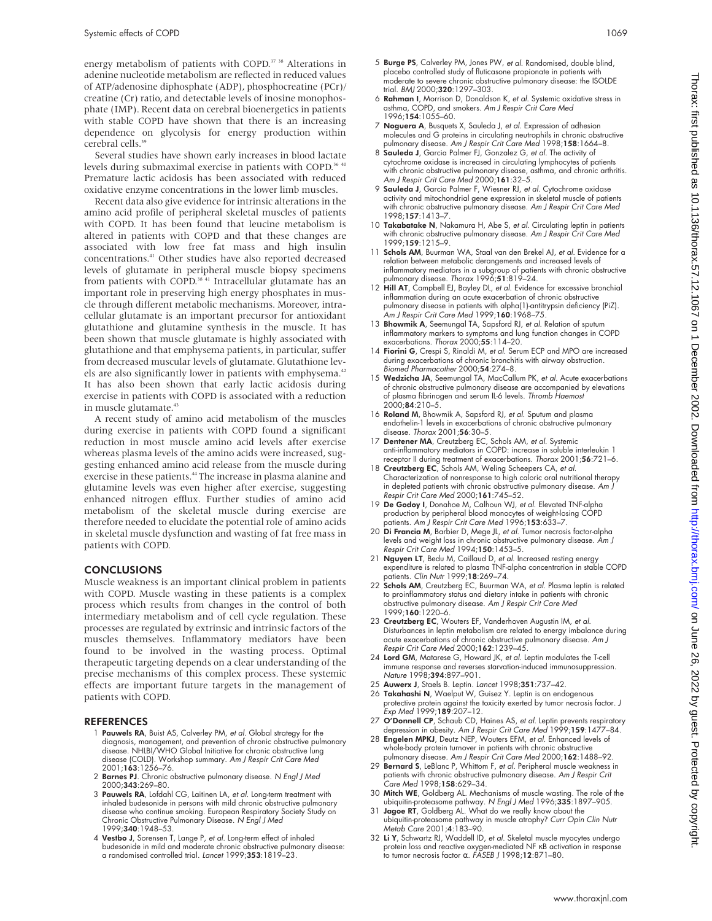energy metabolism of patients with COPD.<sup>37 38</sup> Alterations in adenine nucleotide metabolism are reflected in reduced values of ATP/adenosine diphosphate (ADP), phosphocreatine (PCr)/ creatine (Cr) ratio, and detectable levels of inosine monophosphate (IMP). Recent data on cerebral bioenergetics in patients with stable COPD have shown that there is an increasing dependence on glycolysis for energy production within cerebral cells.<sup>39</sup>

Several studies have shown early increases in blood lactate levels during submaximal exercise in patients with COPD.<sup>36</sup> Premature lactic acidosis has been associated with reduced oxidative enzyme concentrations in the lower limb muscles.

Recent data also give evidence for intrinsic alterations in the amino acid profile of peripheral skeletal muscles of patients with COPD. It has been found that leucine metabolism is altered in patients with COPD and that these changes are associated with low free fat mass and high insulin concentrations.41 Other studies have also reported decreased levels of glutamate in peripheral muscle biopsy specimens from patients with COPD.<sup>38 41</sup> Intracellular glutamate has an important role in preserving high energy phosphates in muscle through different metabolic mechanisms. Moreover, intracellular glutamate is an important precursor for antioxidant glutathione and glutamine synthesis in the muscle. It has been shown that muscle glutamate is highly associated with glutathione and that emphysema patients, in particular, suffer from decreased muscular levels of glutamate. Glutathione levels are also significantly lower in patients with emphysema.<sup>42</sup> It has also been shown that early lactic acidosis during exercise in patients with COPD is associated with a reduction in muscle glutamate.<sup>43</sup>

A recent study of amino acid metabolism of the muscles during exercise in patients with COPD found a significant reduction in most muscle amino acid levels after exercise whereas plasma levels of the amino acids were increased, suggesting enhanced amino acid release from the muscle during exercise in these patients.<sup>44</sup> The increase in plasma alanine and glutamine levels was even higher after exercise, suggesting enhanced nitrogen efflux. Further studies of amino acid metabolism of the skeletal muscle during exercise are therefore needed to elucidate the potential role of amino acids in skeletal muscle dysfunction and wasting of fat free mass in patients with COPD.

#### **CONCLUSIONS**

Muscle weakness is an important clinical problem in patients with COPD. Muscle wasting in these patients is a complex process which results from changes in the control of both intermediary metabolism and of cell cycle regulation. These processes are regulated by extrinsic and intrinsic factors of the muscles themselves. Inflammatory mediators have been found to be involved in the wasting process. Optimal therapeutic targeting depends on a clear understanding of the precise mechanisms of this complex process. These systemic effects are important future targets in the management of patients with COPD.

#### **REFERENCES**

- 1 Pauwels RA, Buist AS, Calverley PM, et al. Global strategy for the diagnosis, management, and prevention of chronic obstructive pulmonary disease. NHLBI/WHO Global Initiative for chronic obstructive lung disease (COLD). Workshop summary. Am J Respir Crit Care Med 2001;163:1256–76.
- 2 Barnes PJ. Chronic obstructive pulmonary disease. N Engl J Med 2000:343:269-80.
- 3 Pauwels RA, Lofdahl CG, Laitinen LA, et al. Long-term treatment with inhaled budesonide in persons with mild chronic obstructive pulmonary disease who continue smoking. European Respiratory Society Study on Chronic Obstructive Pulmonary Disease. N Engl J Med 1999;340:1948–53.
- 4 Vestbo J, Sorensen T, Lange P, et al. Long-term effect of inhaled budesonide in mild and moderate chronic obstructive pulmonary disease: a randomised controlled trial. Lancet 1999;353:1819–23.
- 5 Burge PS, Calverley PM, Jones PW, et al. Randomised, double blind, placebo controlled study of fluticasone propionate in patients with moderate to severe chronic obstructive pulmonary disease: the ISOLDE trial. BMJ 2000;320:1297–303.
- 6 Rahman I, Morrison D, Donaldson K, et al. Systemic oxidative stress in asthma, COPD, and smokers. Am J Respir Crit Care Med 1996;154:1055–60.
- 7 Noguera A, Busquets X, Sauleda J, et al. Expression of adhesion molecules and G proteins in circulating neutrophils in chronic obstructive pulmonary disease. Am J Respir Crit Care Med 1998;158:1664-8.
- 8 Sauleda J, Garcia Palmer FJ, Gonzalez G, et al. The activity of cytochrome oxidase is increased in circulating lymphocytes of patients with chronic obstructive pulmonary disease, asthma, and chronic arthritis. Am J Respir Crit Care Med 2000;161:32–5.
- 9 Sauleda J, Garcia Palmer F, Wiesner RJ, et al. Cytochrome oxidase activity and mitochondrial gene expression in skeletal muscle of patients with chronic obstructive pulmonary disease. Am J Respir Crit Care Med 1998;157:1413–7.
- 10 Takabatake N, Nakamura H, Abe S, et al. Circulating leptin in patients with chronic obstructive pulmonary disease. Am J Respir Crit Care Med 1999;159:1215–9.
- 11 Schols AM, Buurman WA, Staal van den Brekel AJ, et al. Evidence for a relation between metabolic derangements and increased levels of inflammatory mediators in a subgroup of patients with chronic obstructive pulmonary disease. Thorax 1996;51:819–24.
- 12 Hill AT, Campbell EJ, Bayley DL, et al. Evidence for excessive bronchial inflammation during an acute exacerbation of chronic obstructive pulmonary disease in patients with alpha(1)-antitrypsin deficiency (PiZ). Am J Respir Crit Care Med 1999;160:1968–75.
- 13 Bhowmik A, Seemungal TA, Sapsford RJ, et al. Relation of sputum inflammatory markers to symptoms and lung function changes in COPD exacerbations. Thorax 2000;55:114–20.
- 14 Fiorini G, Crespi S, Rinaldi M, et al. Serum ECP and MPO are increased during exacerbations of chronic bronchitis with airway obstruction. Biomed Pharmacother 2000;54:274–8.
- 15 Wedzicha JA, Seemungal TA, MacCallum PK, et al. Acute exacerbations of chronic obstructive pulmonary disease are accompanied by elevations of plasma fibrinogen and serum IL-6 levels. Thromb Haemost 2000;84:210–5.
- 16 Roland M, Bhowmik A, Sapsford RJ, et al. Sputum and plasma endothelin-1 levels in exacerbations of chronic obstructive pulmonary disease. Thorax 2001;56:30–5.
- 17 Dentener MA, Creutzberg EC, Schols AM, et al. Systemic anti-inflammatory mediators in COPD: increase in soluble interleukin 1 receptor II during treatment of exacerbations. Thorax 2001;56:721-6.
- 18 Creutzberg EC, Schols AM, Weling Scheepers CA, et al. Characterization of nonresponse to high caloric oral nutritional therapy in depleted patients with chronic obstructive pulmonary disease. Am J Respir Crit Care Med 2000;161:745–52.
- 19 De Godoy I, Donahoe M, Calhoun WJ, et al. Elevated TNF-alpha production by peripheral blood monocytes of weight-losing COPD patients. Am J Respir Crit Care Med 1996;153:633–7
- 20 Di Francia M, Barbier D, Mege JL, et al. Tumor necrosis factor-alpha levels and weight loss in chronic obstructive pulmonary disease. Am J Respir Crit Care Med 1994;150:1453–5.
- 21 Nguyen LT, Bedu M, Caillaud D, et al. Increased resting energy expenditure is related to plasma TNF-alpha concentration in stable COPD patients. Clin Nutr 1999;18:269–74.
- 22 Schols AM, Creutzberg EC, Buurman WA, et al. Plasma leptin is related to proinflammatory status and dietary intake in patients with chronic obstructive pulmonary disease. Am J Respir Crit Care Med 1999;160:1220–6.
- 23 Creutzberg EC, Wouters EF, Vanderhoven Augustin IM, et al. Disturbances in leptin metabolism are related to energy imbalance during acute exacerbations of chronic obstructive pulmonary disease. Am J Respir Crit Care Med 2000;162:1239–45.
- 24 Lord GM, Matarese G, Howard JK, et al. Leptin modulates the T-cell immune response and reverses starvation-induced immunosuppression. Nature 1998;394:897-901.
- 25 Auwerx J, Staels B. Leptin. Lancet 1998;351:737–42.
- 26 Takahashi N, Waelput W, Guisez Y. Leptin is an endogenous protective protein against the toxicity exerted by tumor necrosis factor. J Exp Med 1999;189:207-12.
- 27 O'Donnell CP, Schaub CD, Haines AS, et al. Leptin prevents respiratory depression in obesity. Am J Respir Crit Care Med 1999;159:1477-84.
- 28 Engelen MPKJ, Deutz NEP, Wouters EFM, et al. Enhanced levels of whole-body protein turnover in patients with chronic obstructive pulmonary disease. Am J Respir Crit Care Med 2000;162:1488–92.
- 29 Bernard S, LeBlanc P, Whittom F, et al. Peripheral muscle weakness in patients with chronic obstructive pulmonary disease. Am J Respir Crit Care Med 1998;158:629–34.
- 30 Mitch WE, Goldberg AL. Mechanisms of muscle wasting. The role of the ubiquitin-proteasome pathway. N Engl J Med 1996;335:1897–905.
- 31 Jagoe RT, Goldberg AL. What do we really know about the ubiquitin-proteasome pathway in muscle atrophy? Curr Opin Clin Nutr Metab Care 2001;4:183–90.
- 32 Li Y, Schwartz RJ, Waddell ID, et al. Skeletal muscle myocytes undergo protein loss and reactive oxygen-mediated NF κB activation in response to tumor necrosis factor α. FASEB J 1998;12:871–80.